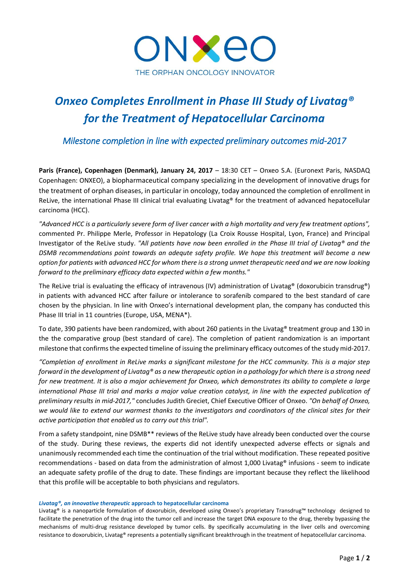

# *Onxeo Completes Enrollment in Phase III Study of Livatag® for the Treatment of Hepatocellular Carcinoma*

*Milestone completion in line with expected preliminary outcomes mid-2017* 

Paris (France), Copenhagen (Denmark), January 24, 2017 - 18:30 CET - Onxeo S.A. (Euronext Paris, NASDAQ Copenhagen: ONXEO), a biopharmaceutical company specializing in the development of innovative drugs for the treatment of orphan diseases, in particular in oncology, today announced the completion of enrollment in ReLive, the international Phase III clinical trial evaluating Livatag® for the treatment of advanced hepatocellular carcinoma (HCC).

*"Advanced HCC is a particularly severe form of liver cancer with a high mortality and very few treatment options",*  commented Pr. Philippe Merle, Professor in Hepatology (La Croix Rousse Hospital, Lyon, France) and Principal Investigator of the ReLive study. *"All patients have now been enrolled in the Phase III trial of Livatag® and the DSMB recommendations point towards an adequte safety profile. We hope this treatment will become a new option for patients with advanced HCC for whom there is a strong unmet therapeutic need and we are now looking forward to the preliminary efficacy data expected within a few months."*

The ReLive trial is evaluating the efficacy of intravenous (IV) administration of Livatag® (doxorubicin transdrug®) in patients with advanced HCC after failure or intolerance to sorafenib compared to the best standard of care chosen by the physician. In line with Onxeo's international development plan, the company has conducted this Phase III trial in 11 countries (Europe, USA, MENA\*).

To date, 390 patients have been randomized, with about 260 patients in the Livatag® treatment group and 130 in the the comparative group (best standard of care). The completion of patient randomization is an important milestone that confirms the expected timeline of issuing the preliminary efficacy outcomes of the study mid-2017.

*"Completion of enrollment in ReLive marks a significant milestone for the HCC community. This is a major step forward in the development of Livatag® as a new therapeutic option in a pathology for which there is a strong need for new treatment. It is also a major achievement for Onxeo, which demonstrates its ability to complete a large international Phase III trial and marks a major value creation catalyst, in line with the expected publication of preliminary results in mid-2017,"* concludes Judith Greciet, Chief Executive Officer of Onxeo. *"On behalf of Onxeo, we would like to extend our warmest thanks to the investigators and coordinators of the clinical sites for their active participation that enabled us to carry out this trial".*

From a safety standpoint, nine DSMB\*\* reviews of the ReLive study have already been conducted over the course of the study. During these reviews, the experts did not identify unexpected adverse effects or signals and unanimously recommended each time the continuation of the trial without modification. These repeated positive recommendations - based on data from the administration of almost 1,000 Livatag® infusions - seem to indicate an adequate safety profile of the drug to date. These findings are important because they reflect the likelihood that this profile will be acceptable to both physicians and regulators.

# *Livatag®, an innovative therapeutic* **approach to hepatocellular carcinoma**

Livatag® is a nanoparticle formulation of doxorubicin, developed using Onxeo's proprietary Transdrug™ technology designed to facilitate the penetration of the drug into the tumor cell and increase the target DNA exposure to the drug, thereby bypassing the mechanisms of multi-drug resistance developed by tumor cells. By specifically accumulating in the liver cells and overcoming resistance to doxorubicin, Livatag® represents a potentially significant breakthrough in the treatment of hepatocellular carcinoma.